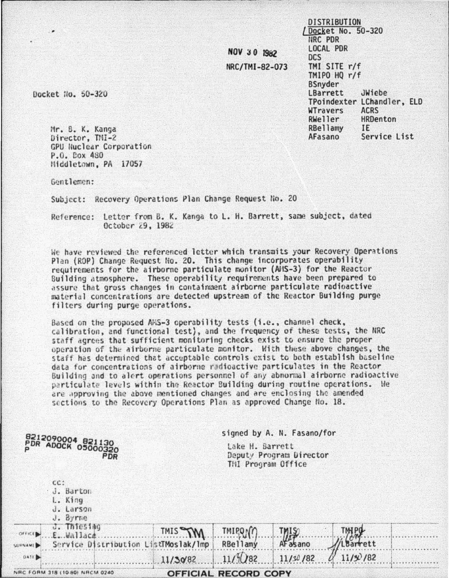NOV 30 1982 NRC/TMI-82-073 Docket No. 50-320 NRC PDR LOCAL PDR **DCS** TMI SITE r/f TMIPO HO r/f **BSnyder** LBarrett JWiebe TPoindexter LChandler, ELD WTravers **ACRS** RWeller HRDenton RBellamy **IF** AFasano Service List

**DISTRIBUTION** 

Docket No. 50-320

Mr. B. K. Kanga Director. TMI-2 GPU Nuclear Corporation P.O. Cox 480 Middletown, PA 17057

Gentlemen:

Subject: Recovery Operations Plan Change Request No. 20

Reference: Letter from B. K. Kanga to L. H. Barrett, same subject, dated October 29, 1982

We have reviewed the referenced letter which transmits your Recovery Operations Plan (ROP) Change Request No. 20. This change incorporates operability requirements for the airborne particulate monitor (AIS-3) for the Reactor Building atmosphere. These operability requirements have been prepared to assure that gross changes in containment airborne particulate radioactive material concentrations are detected upstream of the Reactor Building purge filters during purge operations.

Based on the proposed AMS-3 operability tests (i.e., channel check, calibration, and functional test), and the frequency of these tests, the NRC staff agrees that sufficient monitoring checks exist to ensure the proper operation of the airborne particulate monitor. With these above changes, the staff has determined that acceptable controls exist to both establish baseline data for concentrations of airborne radioactive particulates in the Reactor Building and to alert operations personnel of any abnormal airborne radioactive particulate levels within the Reactor Building during routine operations. He are approving the above mentioned changes and are enclosing the amended sections to the Recovery Operations Plan as approved Change No. 18.

|                                                         | signed by A. N. Fasano/for<br>Lake H. Barrett<br>Deputy Program Director<br>THI Program Office |                             |           |                       |  |
|---------------------------------------------------------|------------------------------------------------------------------------------------------------|-----------------------------|-----------|-----------------------|--|
| 8212090004 821130<br>PDR ADOCK 05000320<br>PDR          |                                                                                                |                             |           |                       |  |
| $cc$ :<br>J. Barton<br>L. King<br>J. Larson<br>J. Byrne |                                                                                                |                             |           |                       |  |
| J. Thiesiag<br>OFFICE<br>E. Wallace                     | TMIS TW                                                                                        | TMIPON                      |           | <b>TIM PO</b><br>1.74 |  |
| Service Distribution ListTMoslak/Imp<br><b>CURNAME</b>  |                                                                                                | <b>RBellamy</b>             | AF as ano | LBarrett              |  |
| <b>DATE</b>                                             | 11/30/82                                                                                       | $11/\frac{5}{2}082$         | 11/30/82  | 11/3/182              |  |
| NRC FORM 318 (10 80) NRCM 0240                          |                                                                                                | <b>OFFICIAL RECORD COPY</b> |           |                       |  |